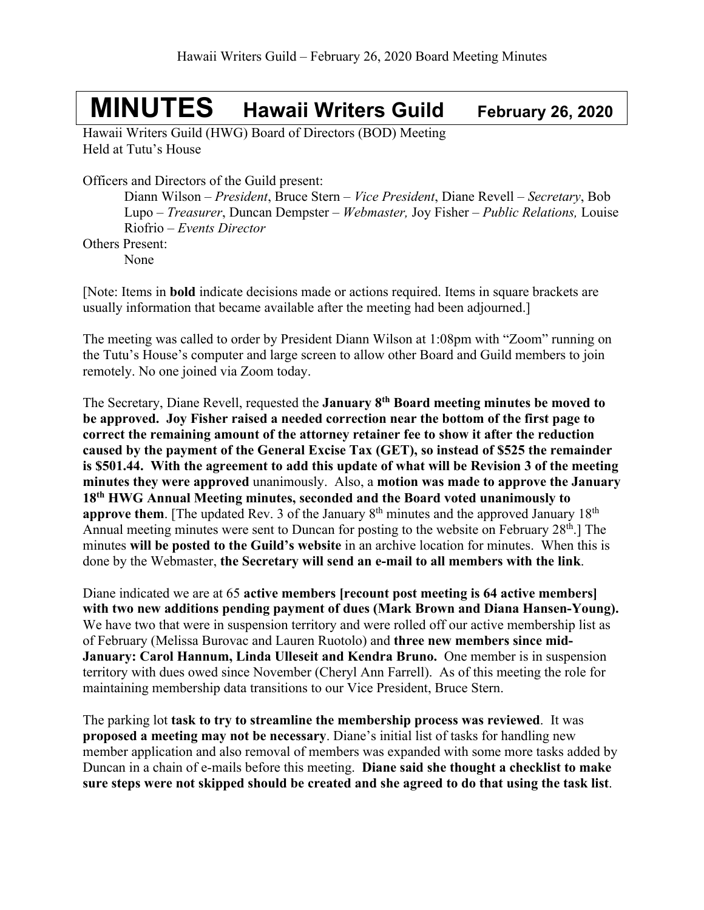## **MINUTES Hawaii Writers Guild February 26, <sup>2020</sup>**

Hawaii Writers Guild (HWG) Board of Directors (BOD) Meeting Held at Tutu's House

Officers and Directors of the Guild present:

Diann Wilson – *President*, Bruce Stern – *Vice President*, Diane Revell – *Secretary*, Bob Lupo – *Treasurer*, Duncan Dempster – *Webmaster,* Joy Fisher – *Public Relations,* Louise Riofrio – *Events Director* Others Present:

None

[Note: Items in **bold** indicate decisions made or actions required. Items in square brackets are usually information that became available after the meeting had been adjourned.]

The meeting was called to order by President Diann Wilson at 1:08pm with "Zoom" running on the Tutu's House's computer and large screen to allow other Board and Guild members to join remotely. No one joined via Zoom today.

The Secretary, Diane Revell, requested the **January 8th Board meeting minutes be moved to be approved. Joy Fisher raised a needed correction near the bottom of the first page to correct the remaining amount of the attorney retainer fee to show it after the reduction caused by the payment of the General Excise Tax (GET), so instead of \$525 the remainder is \$501.44. With the agreement to add this update of what will be Revision 3 of the meeting minutes they were approved** unanimously. Also, a **motion was made to approve the January 18th HWG Annual Meeting minutes, seconded and the Board voted unanimously to approve them**. [The updated Rev. 3 of the January 8<sup>th</sup> minutes and the approved January 18<sup>th</sup> Annual meeting minutes were sent to Duncan for posting to the website on February 28<sup>th</sup>.] The minutes **will be posted to the Guild's website** in an archive location for minutes. When this is done by the Webmaster, **the Secretary will send an e-mail to all members with the link**.

Diane indicated we are at 65 **active members [recount post meeting is 64 active members] with two new additions pending payment of dues (Mark Brown and Diana Hansen-Young).**  We have two that were in suspension territory and were rolled off our active membership list as of February (Melissa Burovac and Lauren Ruotolo) and **three new members since mid-January: Carol Hannum, Linda Ulleseit and Kendra Bruno.** One member is in suspension territory with dues owed since November (Cheryl Ann Farrell). As of this meeting the role for maintaining membership data transitions to our Vice President, Bruce Stern.

The parking lot **task to try to streamline the membership process was reviewed**. It was **proposed a meeting may not be necessary**. Diane's initial list of tasks for handling new member application and also removal of members was expanded with some more tasks added by Duncan in a chain of e-mails before this meeting. **Diane said she thought a checklist to make sure steps were not skipped should be created and she agreed to do that using the task list**.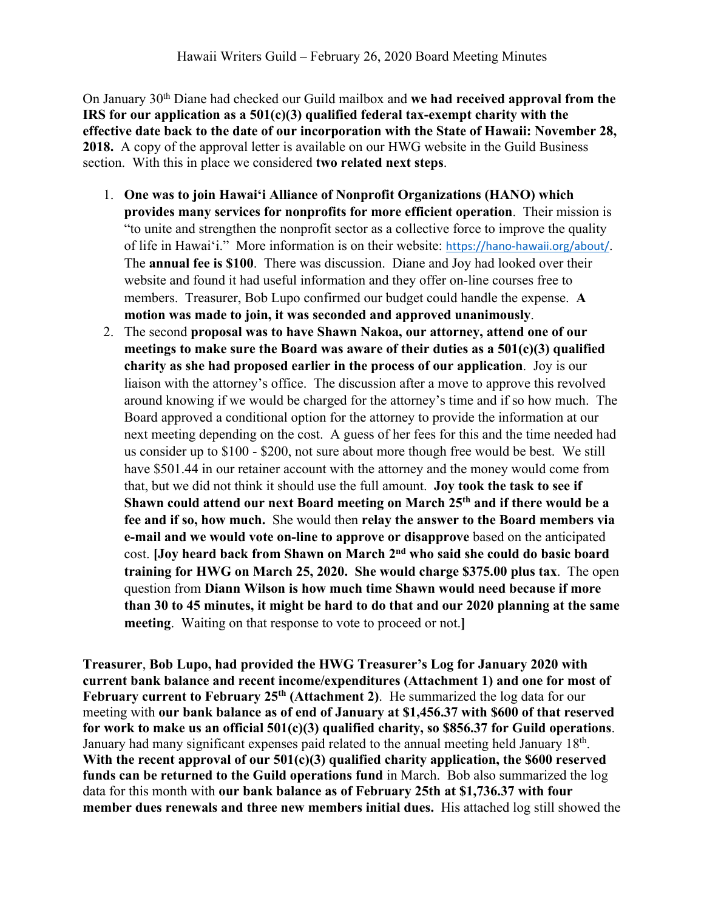On January 30th Diane had checked our Guild mailbox and **we had received approval from the IRS for our application as a 501(c)(3) qualified federal tax-exempt charity with the effective date back to the date of our incorporation with the State of Hawaii: November 28, 2018.** A copy of the approval letter is available on our HWG website in the Guild Business section. With this in place we considered **two related next steps**.

- 1. **One was to join Hawai'i Alliance of Nonprofit Organizations (HANO) which provides many services for nonprofits for more efficient operation**. Their mission is "to unite and strengthen the nonprofit sector as a collective force to improve the quality of life in Hawai'i." More information is on their website: https://hano-hawaii.org/about/. The **annual fee is \$100**. There was discussion. Diane and Joy had looked over their website and found it had useful information and they offer on-line courses free to members. Treasurer, Bob Lupo confirmed our budget could handle the expense. **A motion was made to join, it was seconded and approved unanimously**.
- 2. The second **proposal was to have Shawn Nakoa, our attorney, attend one of our meetings to make sure the Board was aware of their duties as a 501(c)(3) qualified charity as she had proposed earlier in the process of our application**. Joy is our liaison with the attorney's office. The discussion after a move to approve this revolved around knowing if we would be charged for the attorney's time and if so how much. The Board approved a conditional option for the attorney to provide the information at our next meeting depending on the cost. A guess of her fees for this and the time needed had us consider up to \$100 - \$200, not sure about more though free would be best. We still have \$501.44 in our retainer account with the attorney and the money would come from that, but we did not think it should use the full amount. **Joy took the task to see if Shawn could attend our next Board meeting on March 25th and if there would be a fee and if so, how much.** She would then **relay the answer to the Board members via e-mail and we would vote on-line to approve or disapprove** based on the anticipated cost. **[Joy heard back from Shawn on March 2nd who said she could do basic board training for HWG on March 25, 2020. She would charge \$375.00 plus tax**. The open question from **Diann Wilson is how much time Shawn would need because if more than 30 to 45 minutes, it might be hard to do that and our 2020 planning at the same meeting**. Waiting on that response to vote to proceed or not.**]**

**Treasurer**, **Bob Lupo, had provided the HWG Treasurer's Log for January 2020 with current bank balance and recent income/expenditures (Attachment 1) and one for most of February current to February 25<sup>th</sup>** (Attachment 2). He summarized the log data for our meeting with **our bank balance as of end of January at \$1,456.37 with \$600 of that reserved for work to make us an official 501(c)(3) qualified charity, so \$856.37 for Guild operations**. January had many significant expenses paid related to the annual meeting held January 18<sup>th</sup>. **With the recent approval of our 501(c)(3) qualified charity application, the \$600 reserved funds can be returned to the Guild operations fund** in March. Bob also summarized the log data for this month with **our bank balance as of February 25th at \$1,736.37 with four member dues renewals and three new members initial dues.** His attached log still showed the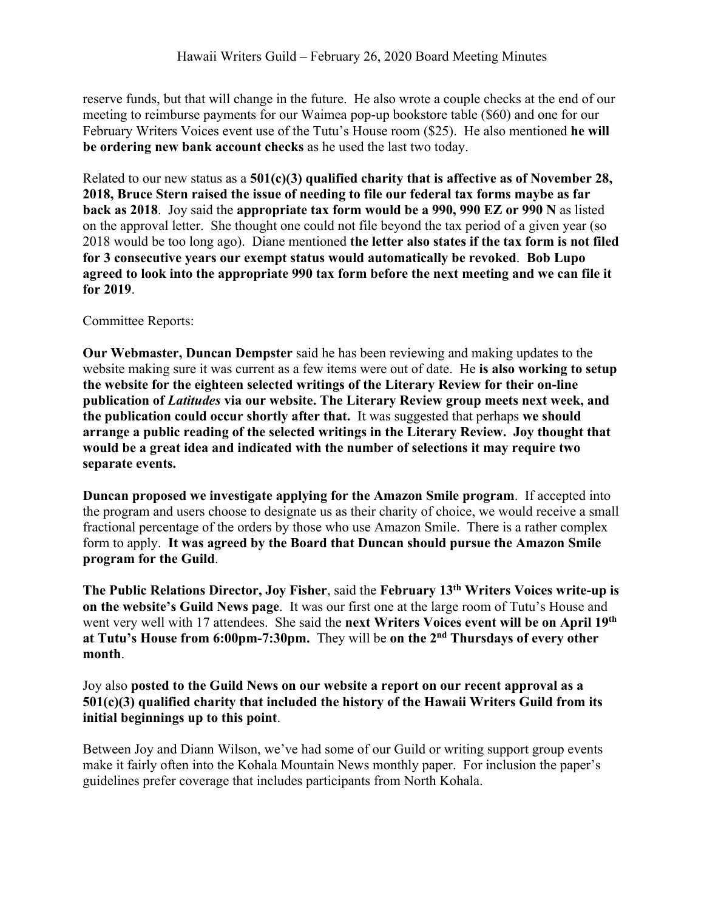reserve funds, but that will change in the future. He also wrote a couple checks at the end of our meeting to reimburse payments for our Waimea pop-up bookstore table (\$60) and one for our February Writers Voices event use of the Tutu's House room (\$25). He also mentioned **he will be ordering new bank account checks** as he used the last two today.

Related to our new status as a **501(c)(3) qualified charity that is affective as of November 28, 2018, Bruce Stern raised the issue of needing to file our federal tax forms maybe as far back as 2018**. Joy said the **appropriate tax form would be a 990, 990 EZ or 990 N** as listed on the approval letter. She thought one could not file beyond the tax period of a given year (so 2018 would be too long ago). Diane mentioned **the letter also states if the tax form is not filed for 3 consecutive years our exempt status would automatically be revoked**. **Bob Lupo agreed to look into the appropriate 990 tax form before the next meeting and we can file it for 2019**.

## Committee Reports:

**Our Webmaster, Duncan Dempster** said he has been reviewing and making updates to the website making sure it was current as a few items were out of date. He **is also working to setup the website for the eighteen selected writings of the Literary Review for their on-line publication of** *Latitudes* **via our website. The Literary Review group meets next week, and the publication could occur shortly after that.** It was suggested that perhaps **we should arrange a public reading of the selected writings in the Literary Review. Joy thought that would be a great idea and indicated with the number of selections it may require two separate events.**

**Duncan proposed we investigate applying for the Amazon Smile program**. If accepted into the program and users choose to designate us as their charity of choice, we would receive a small fractional percentage of the orders by those who use Amazon Smile. There is a rather complex form to apply. **It was agreed by the Board that Duncan should pursue the Amazon Smile program for the Guild**.

**The Public Relations Director, Joy Fisher**, said the **February 13th Writers Voices write-up is on the website's Guild News page**. It was our first one at the large room of Tutu's House and went very well with 17 attendees. She said the **next Writers Voices event will be on April 19th at Tutu's House from 6:00pm-7:30pm.** They will be **on the 2nd Thursdays of every other month**.

## Joy also **posted to the Guild News on our website a report on our recent approval as a 501(c)(3) qualified charity that included the history of the Hawaii Writers Guild from its initial beginnings up to this point**.

Between Joy and Diann Wilson, we've had some of our Guild or writing support group events make it fairly often into the Kohala Mountain News monthly paper. For inclusion the paper's guidelines prefer coverage that includes participants from North Kohala.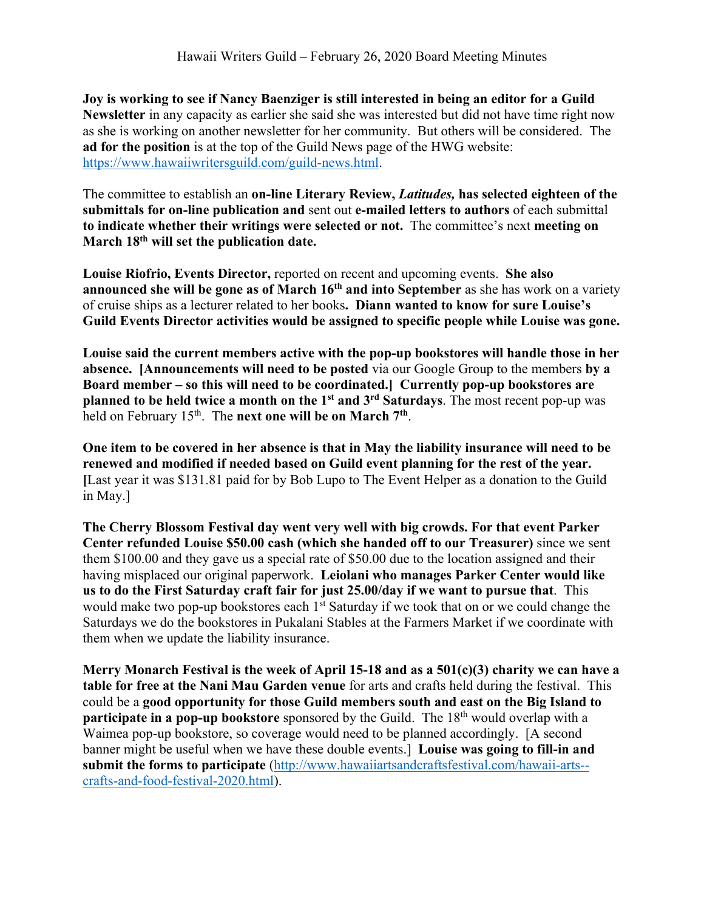**Joy is working to see if Nancy Baenziger is still interested in being an editor for a Guild Newsletter** in any capacity as earlier she said she was interested but did not have time right now as she is working on another newsletter for her community. But others will be considered. The **ad for the position** is at the top of the Guild News page of the HWG website: https://www.hawaiiwritersguild.com/guild-news.html.

The committee to establish an **on-line Literary Review,** *Latitudes,* **has selected eighteen of the submittals for on-line publication and** sent out **e-mailed letters to authors** of each submittal **to indicate whether their writings were selected or not.** The committee's next **meeting on March 18th will set the publication date.** 

**Louise Riofrio, Events Director,** reported on recent and upcoming events. **She also announced she will be gone as of March 16<sup>th</sup> and into September as she has work on a variety** of cruise ships as a lecturer related to her books**. Diann wanted to know for sure Louise's Guild Events Director activities would be assigned to specific people while Louise was gone.**

**Louise said the current members active with the pop-up bookstores will handle those in her absence. [Announcements will need to be posted** via our Google Group to the members **by a Board member – so this will need to be coordinated.] Currently pop-up bookstores are planned to be held twice a month on the 1st and 3rd Saturdays**. The most recent pop-up was held on February 15th. The **next one will be on March 7th**.

**One item to be covered in her absence is that in May the liability insurance will need to be renewed and modified if needed based on Guild event planning for the rest of the year. [**Last year it was \$131.81 paid for by Bob Lupo to The Event Helper as a donation to the Guild in May.]

**The Cherry Blossom Festival day went very well with big crowds. For that event Parker Center refunded Louise \$50.00 cash (which she handed off to our Treasurer)** since we sent them \$100.00 and they gave us a special rate of \$50.00 due to the location assigned and their having misplaced our original paperwork. **Leiolani who manages Parker Center would like us to do the First Saturday craft fair for just 25.00/day if we want to pursue that**. This would make two pop-up bookstores each 1<sup>st</sup> Saturday if we took that on or we could change the Saturdays we do the bookstores in Pukalani Stables at the Farmers Market if we coordinate with them when we update the liability insurance.

**Merry Monarch Festival is the week of April 15-18 and as a 501(c)(3) charity we can have a table for free at the Nani Mau Garden venue** for arts and crafts held during the festival. This could be a **good opportunity for those Guild members south and east on the Big Island to participate in a pop-up bookstore** sponsored by the Guild. The 18<sup>th</sup> would overlap with a Waimea pop-up bookstore, so coverage would need to be planned accordingly. [A second banner might be useful when we have these double events.] **Louise was going to fill-in and submit the forms to participate** (http://www.hawaiiartsandcraftsfestival.com/hawaii-arts- crafts-and-food-festival-2020.html).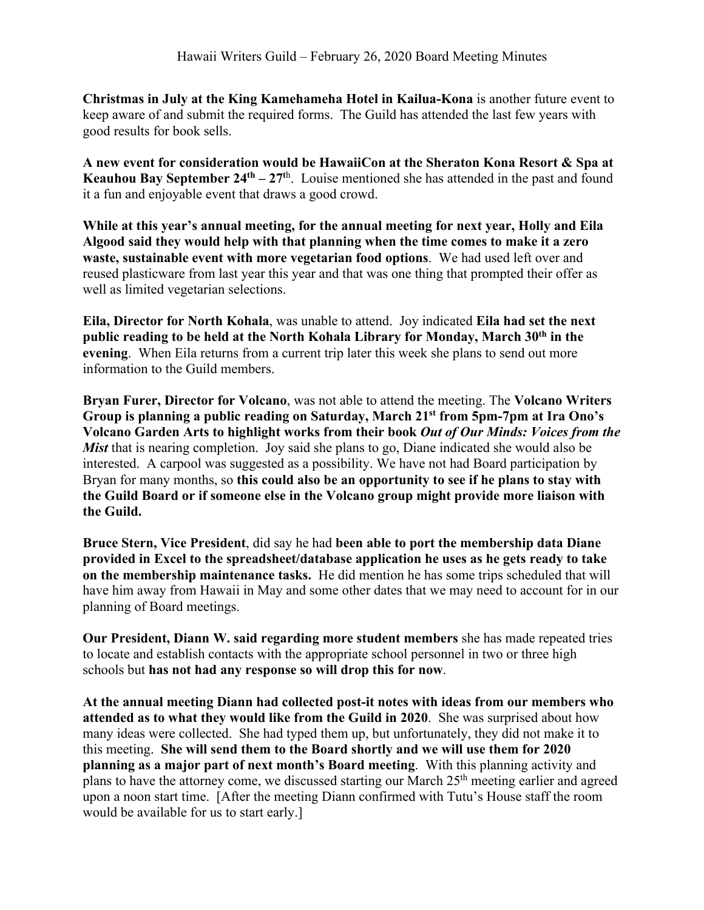**Christmas in July at the King Kamehameha Hotel in Kailua-Kona** is another future event to keep aware of and submit the required forms. The Guild has attended the last few years with good results for book sells.

**A new event for consideration would be HawaiiCon at the Sheraton Kona Resort & Spa at Keauhou Bay September 24<sup>th</sup> – 27<sup>th</sup>**. Louise mentioned she has attended in the past and found it a fun and enjoyable event that draws a good crowd.

**While at this year's annual meeting, for the annual meeting for next year, Holly and Eila Algood said they would help with that planning when the time comes to make it a zero waste, sustainable event with more vegetarian food options**. We had used left over and reused plasticware from last year this year and that was one thing that prompted their offer as well as limited vegetarian selections.

**Eila, Director for North Kohala**, was unable to attend. Joy indicated **Eila had set the next public reading to be held at the North Kohala Library for Monday, March 30th in the evening**. When Eila returns from a current trip later this week she plans to send out more information to the Guild members.

**Bryan Furer, Director for Volcano**, was not able to attend the meeting. The **Volcano Writers Group is planning a public reading on Saturday, March 21st from 5pm-7pm at Ira Ono's Volcano Garden Arts to highlight works from their book** *Out of Our Minds: Voices from the Mist* that is nearing completion. Joy said she plans to go, Diane indicated she would also be interested. A carpool was suggested as a possibility. We have not had Board participation by Bryan for many months, so **this could also be an opportunity to see if he plans to stay with the Guild Board or if someone else in the Volcano group might provide more liaison with the Guild.**

**Bruce Stern, Vice President**, did say he had **been able to port the membership data Diane provided in Excel to the spreadsheet/database application he uses as he gets ready to take on the membership maintenance tasks.** He did mention he has some trips scheduled that will have him away from Hawaii in May and some other dates that we may need to account for in our planning of Board meetings.

**Our President, Diann W. said regarding more student members** she has made repeated tries to locate and establish contacts with the appropriate school personnel in two or three high schools but **has not had any response so will drop this for now**.

**At the annual meeting Diann had collected post-it notes with ideas from our members who attended as to what they would like from the Guild in 2020**. She was surprised about how many ideas were collected. She had typed them up, but unfortunately, they did not make it to this meeting. **She will send them to the Board shortly and we will use them for 2020 planning as a major part of next month's Board meeting**. With this planning activity and plans to have the attorney come, we discussed starting our March 25<sup>th</sup> meeting earlier and agreed upon a noon start time. [After the meeting Diann confirmed with Tutu's House staff the room would be available for us to start early.]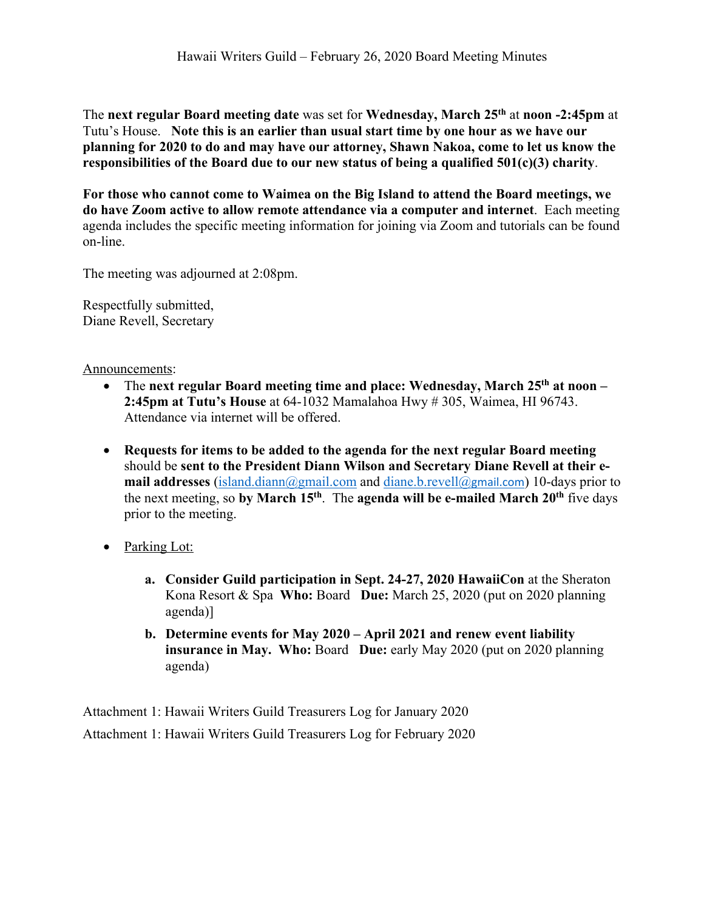The **next regular Board meeting date** was set for **Wednesday, March 25th** at **noon -2:45pm** at Tutu's House. **Note this is an earlier than usual start time by one hour as we have our planning for 2020 to do and may have our attorney, Shawn Nakoa, come to let us know the responsibilities of the Board due to our new status of being a qualified 501(c)(3) charity**.

**For those who cannot come to Waimea on the Big Island to attend the Board meetings, we do have Zoom active to allow remote attendance via a computer and internet**. Each meeting agenda includes the specific meeting information for joining via Zoom and tutorials can be found on-line.

The meeting was adjourned at 2:08pm.

Respectfully submitted, Diane Revell, Secretary

Announcements:

- The **next regular Board meeting time and place: Wednesday, March 25th at noon – 2:45pm at Tutu's House** at 64-1032 Mamalahoa Hwy # 305, Waimea, HI 96743. Attendance via internet will be offered.
- **Requests for items to be added to the agenda for the next regular Board meeting** should be **sent to the President Diann Wilson and Secretary Diane Revell at their email addresses** (island.diann@gmail.com and diane.b.revell@gmail.com) 10-days prior to the next meeting, so **by March 15th**. The **agenda will be e-mailed March 20th** five days prior to the meeting.
- Parking Lot:
	- **a. Consider Guild participation in Sept. 24-27, 2020 HawaiiCon** at the Sheraton Kona Resort & Spa **Who:** Board **Due:** March 25, 2020 (put on 2020 planning agenda)]
	- **b. Determine events for May 2020 – April 2021 and renew event liability insurance in May. Who:** Board **Due:** early May 2020 (put on 2020 planning agenda)

Attachment 1: Hawaii Writers Guild Treasurers Log for January 2020 Attachment 1: Hawaii Writers Guild Treasurers Log for February 2020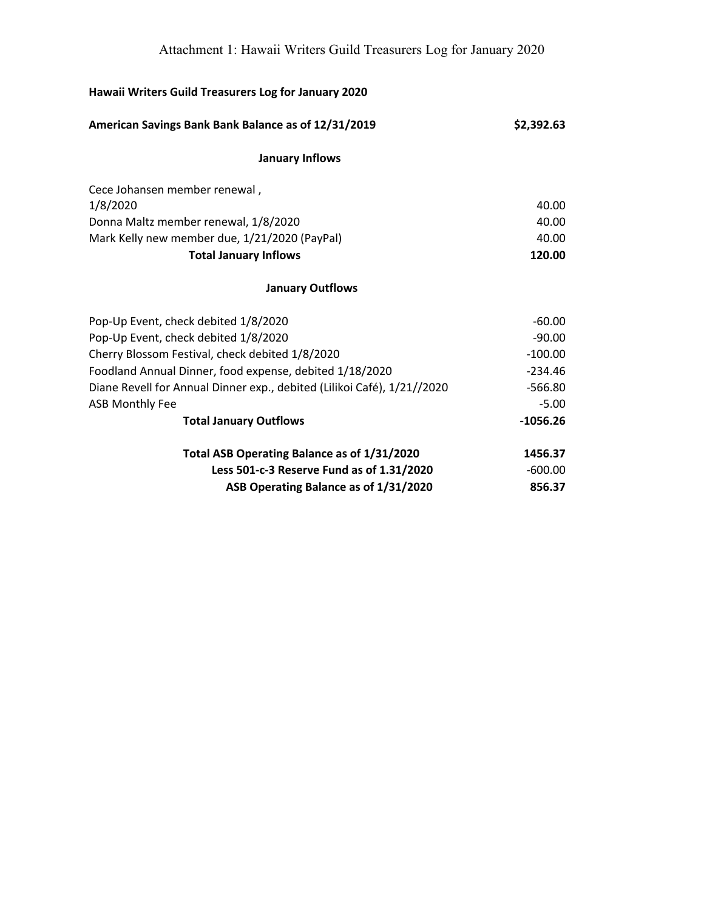| Hawaii Writers Guild Treasurers Log for January 2020                    |            |  |
|-------------------------------------------------------------------------|------------|--|
| American Savings Bank Bank Balance as of 12/31/2019                     | \$2,392.63 |  |
| <b>January Inflows</b>                                                  |            |  |
| Cece Johansen member renewal,                                           |            |  |
| 1/8/2020                                                                | 40.00      |  |
| Donna Maltz member renewal, 1/8/2020                                    | 40.00      |  |
| Mark Kelly new member due, 1/21/2020 (PayPal)                           | 40.00      |  |
| <b>Total January Inflows</b>                                            | 120.00     |  |
| <b>January Outflows</b>                                                 |            |  |
| Pop-Up Event, check debited 1/8/2020                                    | $-60.00$   |  |
| Pop-Up Event, check debited 1/8/2020                                    | $-90.00$   |  |
| Cherry Blossom Festival, check debited 1/8/2020                         | $-100.00$  |  |
| Foodland Annual Dinner, food expense, debited 1/18/2020                 | $-234.46$  |  |
| Diane Revell for Annual Dinner exp., debited (Lilikoi Café), 1/21//2020 | $-566.80$  |  |
| <b>ASB Monthly Fee</b>                                                  | $-5.00$    |  |
| <b>Total January Outflows</b>                                           | $-1056.26$ |  |
| Total ASB Operating Balance as of 1/31/2020                             | 1456.37    |  |
| Less 501-c-3 Reserve Fund as of 1.31/2020                               | $-600.00$  |  |
| ASB Operating Balance as of 1/31/2020                                   | 856.37     |  |